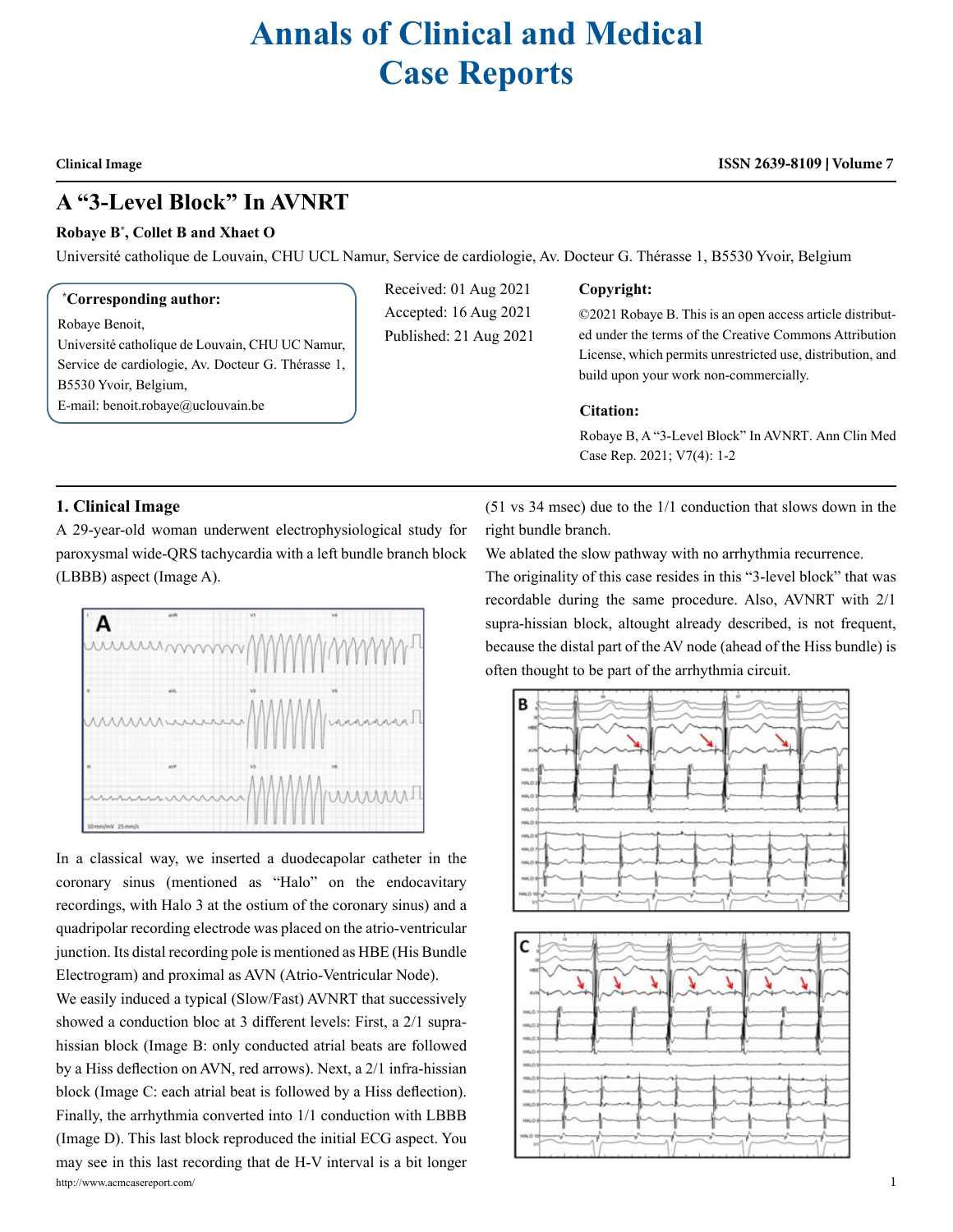# **Annals of Clinical and Medical Case Reports**

#### **Clinical Image**

# **ISSN 2639-8109 Volume 7**

# **A "3-Level Block" In AVNRT**

#### **Robaye B\* , Collet B and Xhaet O**

Université catholique de Louvain, CHU UCL Namur, Service de cardiologie, Av. Docteur G. Thérasse 1, B5530 Yvoir, Belgium

#### **\* Corresponding author:**

Robaye Benoit,

Université catholique de Louvain, CHU UC Namur, Service de cardiologie, Av. Docteur G. Thérasse 1, B5530 Yvoir, Belgium, E-mail: [benoit.robaye@uclouvain.be](mailto:benoit.robaye@uclouvain.be)

Received: 01 Aug 2021 Accepted: 16 Aug 2021 Published: 21 Aug 2021

#### **Copyright:**

©2021 Robaye B. This is an open access article distributed under the terms of the Creative Commons Attribution License, which permits unrestricted use, distribution, and build upon your work non-commercially.

## **Citation:**

Robaye B, A "3-Level Block" In AVNRT. Ann Clin Med Case Rep. 2021; V7(4): 1-2

### **1. Clinical Image**

A 29-year-old woman underwent electrophysiological study for paroxysmal wide-QRS tachycardia with a left bundle branch block (LBBB) aspect (Image A).



In a classical way, we inserted a duodecapolar catheter in the coronary sinus (mentioned as "Halo" on the endocavitary recordings, with Halo 3 at the ostium of the coronary sinus) and a quadripolar recording electrode was placed on the atrio-ventricular junction. Its distal recording pole is mentioned as HBE (His Bundle Electrogram) and proximal as AVN (Atrio-Ventricular Node).

http://www.acmcasereport.com/ 1 We easily induced a typical (Slow/Fast) AVNRT that successively showed a conduction bloc at 3 different levels: First, a 2/1 suprahissian block (Image B: only conducted atrial beats are followed by a Hiss deflection on AVN, red arrows). Next, a 2/1 infra-hissian block (Image C: each atrial beat is followed by a Hiss deflection). Finally, the arrhythmia converted into 1/1 conduction with LBBB (Image D). This last block reproduced the initial ECG aspect. You may see in this last recording that de H-V interval is a bit longer

(51 vs 34 msec) due to the 1/1 conduction that slows down in the right bundle branch.

We ablated the slow pathway with no arrhythmia recurrence.

The originality of this case resides in this "3-level block" that was recordable during the same procedure. Also, AVNRT with 2/1 supra-hissian block, altought already described, is not frequent, because the distal part of the AV node (ahead of the Hiss bundle) is often thought to be part of the arrhythmia circuit.